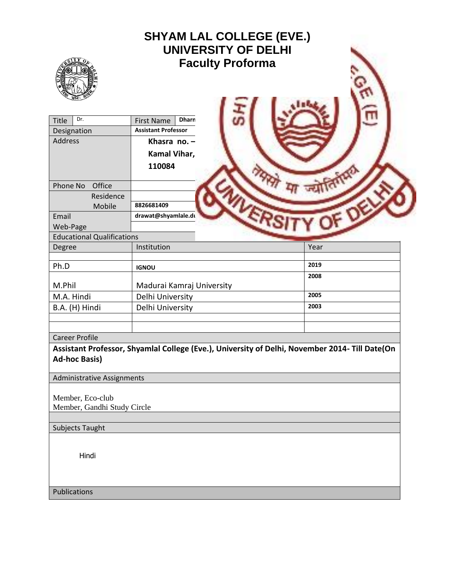| <b>SHYAM LAL COLLEGE (EVE.)</b><br><b>UNIVERSITY OF DELHI</b><br><b>Faculty Proforma</b> |                                                                                                             |  |              |  |  |  |
|------------------------------------------------------------------------------------------|-------------------------------------------------------------------------------------------------------------|--|--------------|--|--|--|
| Dr.<br>Title<br>Designation<br>Address<br>Phone No<br>Office                             | <b>Dharn</b><br><b>First Name</b><br><b>Assistant Professor</b><br>Khasra no. $-$<br>Kamal Vihar,<br>110084 |  |              |  |  |  |
| Residence<br>Mobile<br>Email<br>Web-Page                                                 | 8826681409<br>drawat@shyamlale.du                                                                           |  |              |  |  |  |
| <b>Educational Qualifications</b>                                                        |                                                                                                             |  |              |  |  |  |
| Degree                                                                                   | Institution                                                                                                 |  | Year         |  |  |  |
| Ph.D                                                                                     | <b>IGNOU</b>                                                                                                |  | 2019<br>2008 |  |  |  |
| M.Phil                                                                                   | Madurai Kamraj University                                                                                   |  |              |  |  |  |
| M.A. Hindi                                                                               | Delhi University                                                                                            |  | 2005         |  |  |  |
| B.A. (H) Hindi                                                                           | Delhi University                                                                                            |  | 2003         |  |  |  |
| <b>Career Profile</b><br><b>Ad-hoc Basis)</b>                                            | Assistant Professor, Shyamlal College (Eve.), University of Delhi, November 2014- Till Date(On              |  |              |  |  |  |
| Administrative Assignments                                                               |                                                                                                             |  |              |  |  |  |
| Member, Eco-club<br>Member, Gandhi Study Circle                                          |                                                                                                             |  |              |  |  |  |
| <b>Subjects Taught</b>                                                                   |                                                                                                             |  |              |  |  |  |
| Hindi                                                                                    |                                                                                                             |  |              |  |  |  |
| Publications                                                                             |                                                                                                             |  |              |  |  |  |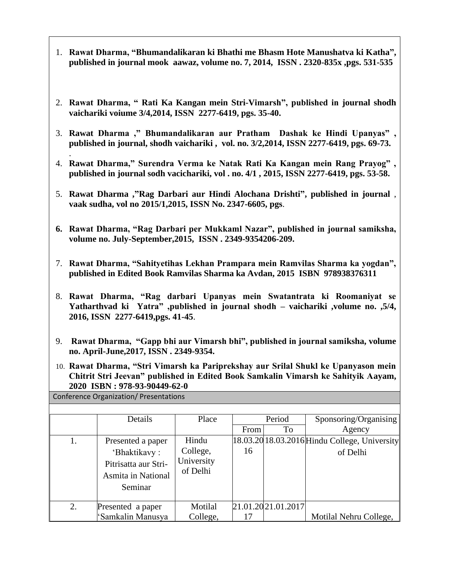- 1. **Rawat Dharma, "Bhumandalikaran ki Bhathi me Bhasm Hote Manushatva ki Katha", published in journal mook aawaz, volume no. 7, 2014, ISSN . 2320-835x ,pgs. 531-535**
- 2. **Rawat Dharma, " Rati Ka Kangan mein Stri-Vimarsh", published in journal shodh vaichariki voiume 3/4,2014, ISSN 2277-6419, pgs. 35-40.**
- 3. **Rawat Dharma ," Bhumandalikaran aur Pratham Dashak ke Hindi Upanyas" , published in journal, shodh vaichariki , vol. no. 3/2,2014, ISSN 2277-6419, pgs. 69-73.**
- . 4. **Rawat Dharma," Surendra Verma ke Natak Rati Ka Kangan mein Rang Prayog" , published in journal sodh vacichariki, vol . no. 4/1 , 2015, ISSN 2277-6419, pgs. 53-58.**
- 5. **Rawat Dharma ,"Rag Darbari aur Hindi Alochana Drishti", published in journal** , **vaak sudha, vol no 2015/1,2015, ISSN No. 2347-6605, pgs**.
- **6. Rawat Dharma, "Rag Darbari per Mukkaml Nazar", published in journal samiksha, volume no. July-September,2015, ISSN . 2349-9354206-209.**
- 7. **Rawat Dharma, "Sahityetihas Lekhan Prampara mein Ramvilas Sharma ka yogdan", published in Edited Book Ramvilas Sharma ka Avdan, 2015 ISBN 978938376311**
- 8. **Rawat Dharma, "Rag darbari Upanyas mein Swatantrata ki Roomaniyat se Yatharthvad ki Yatra" ,published in journal shodh – vaichariki ,volume no. ,5/4, 2016, ISSN 2277-6419,pgs. 41-45**.
- 9. **Rawat Dharma, "Gapp bhi aur Vimarsh bhi", published in journal samiksha, volume no. April-June,2017, ISSN . 2349-9354.**
- 10. **Rawat Dharma, "Stri Vimarsh ka Pariprekshay aur Srilal Shukl ke Upanyason mein Chitrit Stri Jeevan" published in Edited Book Samkalin Vimarsh ke Sahityik Aayam, 2020 ISBN : 978-93-90449-62-0**

| Conference Organization/ Presentations |  |
|----------------------------------------|--|
|----------------------------------------|--|

|    | Details                                                                                           | Place                                       | From | Period<br>To       | Sponsoring/Organising<br>Agency                               |
|----|---------------------------------------------------------------------------------------------------|---------------------------------------------|------|--------------------|---------------------------------------------------------------|
| 1. | Presented a paper<br>'Bhaktikavy:<br>Pitrisatta aur Stri-<br><b>Asmita in National</b><br>Seminar | Hindu<br>College,<br>University<br>of Delhi | 16   |                    | $[18.03.20]$ 18.03.2016 Hindu College, University<br>of Delhi |
| 2. | Presented a paper                                                                                 | Motilal                                     |      | 21.01.2021.01.2017 |                                                               |
|    | 'Samkalin Manusya                                                                                 | College,                                    | 17   |                    | Motilal Nehru College,                                        |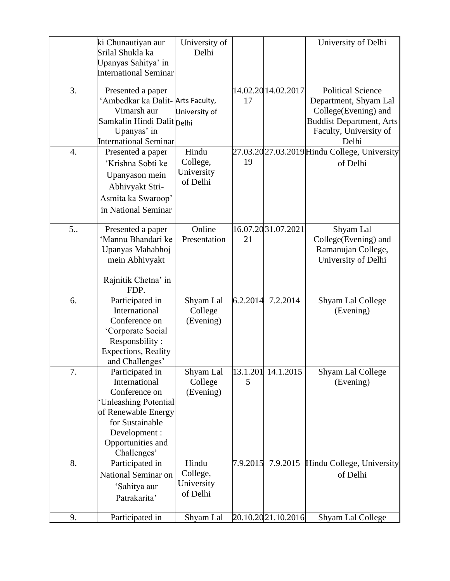|                | ki Chunautiyan aur               | University of |          |                     | University of Delhi                           |
|----------------|----------------------------------|---------------|----------|---------------------|-----------------------------------------------|
|                | Srilal Shukla ka                 |               |          |                     |                                               |
|                |                                  | Delhi         |          |                     |                                               |
|                | Upanyas Sahitya' in              |               |          |                     |                                               |
|                | <b>International Seminar</b>     |               |          |                     |                                               |
| 3.             | Presented a paper                |               |          | 14.02.20 14.02.2017 | <b>Political Science</b>                      |
|                | 'Ambedkar ka Dalit-Arts Faculty, |               | 17       |                     | Department, Shyam Lal                         |
|                | Vimarsh aur                      | University of |          |                     | College(Evening) and                          |
|                | Samkalin Hindi Dalit Delhi       |               |          |                     | <b>Buddist Department, Arts</b>               |
|                | Upanyas' in                      |               |          |                     | Faculty, University of                        |
|                | <b>International Seminar</b>     |               |          |                     | Delhi                                         |
| 4.             | Presented a paper                | Hindu         |          |                     | 27.03.20 27.03.2019 Hindu College, University |
|                | 'Krishna Sobti ke                | College,      | 19       |                     | of Delhi                                      |
|                |                                  | University    |          |                     |                                               |
|                | Upanyason mein                   | of Delhi      |          |                     |                                               |
|                | Abhivyakt Stri-                  |               |          |                     |                                               |
|                | Asmita ka Swaroop'               |               |          |                     |                                               |
|                | in National Seminar              |               |          |                     |                                               |
|                |                                  |               |          |                     |                                               |
| 5 <sub>1</sub> | Presented a paper                | Online        |          | 16.07.20 31.07.2021 | Shyam Lal                                     |
|                | 'Mannu Bhandari ke               | Presentation  | 21       |                     | College(Evening) and                          |
|                | Upanyas Mahabhoj                 |               |          |                     | Ramanujan College,                            |
|                | mein Abhivyakt                   |               |          |                     | University of Delhi                           |
|                |                                  |               |          |                     |                                               |
|                | Rajnitik Chetna' in              |               |          |                     |                                               |
|                | FDP.                             |               |          |                     |                                               |
| 6.             | Participated in                  | Shyam Lal     | 6.2.2014 | 7.2.2014            | Shyam Lal College                             |
|                | International                    | College       |          |                     | (Evening)                                     |
|                | Conference on                    | (Evening)     |          |                     |                                               |
|                | 'Corporate Social                |               |          |                     |                                               |
|                | Responsbility:                   |               |          |                     |                                               |
|                | <b>Expections</b> , Reality      |               |          |                     |                                               |
|                | and Challenges'                  |               |          |                     |                                               |
| 7.             | Participated in                  | Shyam Lal     | 13.1.201 | 14.1.2015           | Shyam Lal College                             |
|                | International                    | College       | 5        |                     | (Evening)                                     |
|                | Conference on                    | (Evening)     |          |                     |                                               |
|                | 'Unleashing Potential            |               |          |                     |                                               |
|                | of Renewable Energy              |               |          |                     |                                               |
|                | for Sustainable                  |               |          |                     |                                               |
|                | Development:                     |               |          |                     |                                               |
|                | Opportunities and                |               |          |                     |                                               |
|                | Challenges'                      |               |          |                     |                                               |
| 8.             | Participated in                  | Hindu         | 7.9.2015 | 7.9.2015            | Hindu College, University                     |
|                | National Seminar on              | College,      |          |                     | of Delhi                                      |
|                | 'Sahitya aur                     | University    |          |                     |                                               |
|                |                                  | of Delhi      |          |                     |                                               |
|                | Patrakarita'                     |               |          |                     |                                               |
| 9.             | Participated in                  | Shyam Lal     |          | 20.10.20 21.10.2016 | Shyam Lal College                             |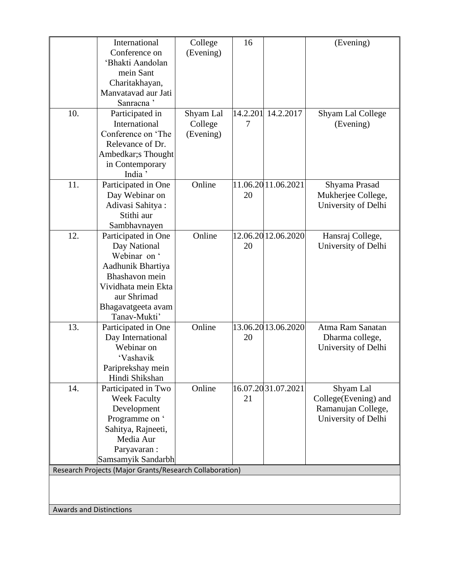|                                                         | International         | College   | 16       |                     | (Evening)            |
|---------------------------------------------------------|-----------------------|-----------|----------|---------------------|----------------------|
|                                                         | Conference on         | (Evening) |          |                     |                      |
|                                                         | 'Bhakti Aandolan      |           |          |                     |                      |
|                                                         | mein Sant             |           |          |                     |                      |
|                                                         | Charitakhayan,        |           |          |                     |                      |
|                                                         | Manvatavad aur Jati   |           |          |                     |                      |
|                                                         | Sanracna <sup>'</sup> |           |          |                     |                      |
| 10.                                                     | Participated in       | Shyam Lal | 14.2.201 | 14.2.2017           | Shyam Lal College    |
|                                                         | International         | College   | 7        |                     | (Evening)            |
|                                                         | Conference on 'The    |           |          |                     |                      |
|                                                         | Relevance of Dr.      | (Evening) |          |                     |                      |
|                                                         |                       |           |          |                     |                      |
|                                                         | Ambedkar;s Thought    |           |          |                     |                      |
|                                                         | in Contemporary       |           |          |                     |                      |
|                                                         | India <sup>'</sup>    |           |          |                     |                      |
| 11.                                                     | Participated in One   | Online    |          | 11.06.20 11.06.2021 | Shyama Prasad        |
|                                                         | Day Webinar on        |           | 20       |                     | Mukherjee College,   |
|                                                         | Adivasi Sahitya:      |           |          |                     | University of Delhi  |
|                                                         | Stithi aur            |           |          |                     |                      |
|                                                         | Sambhavnayen          |           |          |                     |                      |
| 12.                                                     | Participated in One   | Online    |          | 12.06.2012.06.2020  | Hansraj College,     |
|                                                         | Day National          |           | 20       |                     | University of Delhi  |
|                                                         | Webinar on '          |           |          |                     |                      |
|                                                         | Aadhunik Bhartiya     |           |          |                     |                      |
|                                                         | Bhashavon mein        |           |          |                     |                      |
|                                                         | Vividhata mein Ekta   |           |          |                     |                      |
|                                                         | aur Shrimad           |           |          |                     |                      |
|                                                         | Bhagavatgeeta avam    |           |          |                     |                      |
|                                                         | Tanav-Mukti'          |           |          |                     |                      |
| 13.                                                     | Participated in One   | Online    |          | 13.06.20 13.06.2020 | Atma Ram Sanatan     |
|                                                         | Day International     |           | 20       |                     | Dharma college,      |
|                                                         | Webinar on            |           |          |                     | University of Delhi  |
|                                                         | 'Vashavik             |           |          |                     |                      |
|                                                         | Pariprekshay mein     |           |          |                     |                      |
|                                                         | Hindi Shikshan        |           |          |                     |                      |
| 14.                                                     | Participated in Two   | Online    |          | 16.07.2031.07.2021  | Shyam Lal            |
|                                                         | <b>Week Faculty</b>   |           | 21       |                     | College(Evening) and |
|                                                         | Development           |           |          |                     | Ramanujan College,   |
|                                                         | Programme on '        |           |          |                     | University of Delhi  |
|                                                         | Sahitya, Rajneeti,    |           |          |                     |                      |
|                                                         | Media Aur             |           |          |                     |                      |
|                                                         | Paryavaran:           |           |          |                     |                      |
|                                                         | Samsamyik Sandarbh    |           |          |                     |                      |
| Research Projects (Major Grants/Research Collaboration) |                       |           |          |                     |                      |
|                                                         |                       |           |          |                     |                      |
|                                                         |                       |           |          |                     |                      |
|                                                         |                       |           |          |                     |                      |
| <b>Awards and Distinctions</b>                          |                       |           |          |                     |                      |